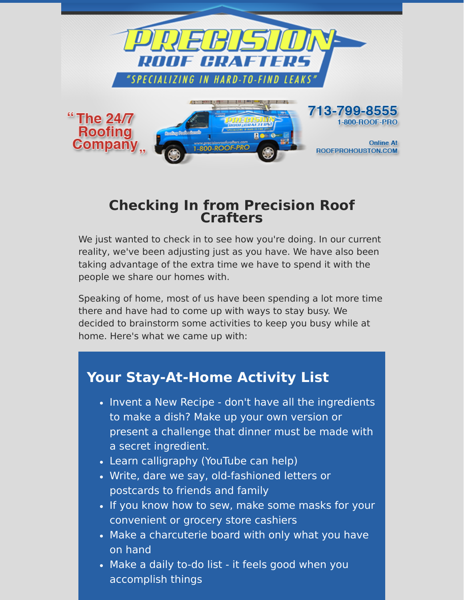

### **Checking In from Precision Roof Crafters**

We just wanted to check in to see how you're doing. In our current reality, we've been adjusting just as you have. We have also been taking advantage of the extra time we have to spend it with the people we share our homes with.

Speaking of home, most of us have been spending a lot more time there and have had to come up with ways to stay busy. We decided to brainstorm some activities to keep you busy while at home. Here's what we came up with:

## **Your Stay-At-Home Activity List**

- Invent a New Recipe don't have all the ingredients to make a dish? Make up your own version or present a challenge that dinner must be made with a secret ingredient.
- Learn calligraphy (YouTube can help)
- Write, dare we say, old-fashioned letters or postcards to friends and family
- If you know how to sew, make some masks for your convenient or grocery store cashiers
- Make a charcuterie board with only what you have on hand
- Make a daily to-do list it feels good when you accomplish things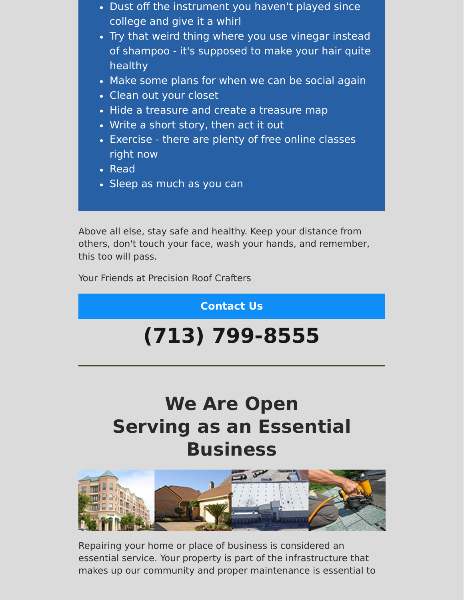- Dust off the instrument you haven't played since college and give it a whirl
- Try that weird thing where you use vinegar instead of shampoo - it's supposed to make your hair quite healthy
- Make some plans for when we can be social again
- Clean out your closet
- Hide a treasure and create a treasure map
- Write a short story, then act it out
- Exercise there are plenty of free online classes right now
- Read
- Sleep as much as you can

Above all else, stay safe and healthy. Keep your distance from others, don't touch your face, wash your hands, and remember, this too will pass.

Your Friends at Precision Roof Crafters

**[Contact Us](https://www.precisionroofcrafters.com/contact-us.php)**

# **[\(713\) 799-8555](tel:+17137998555)**

## **We Are Open Serving as an Essential Business**



Repairing your home or place of business is considered an essential service. Your property is part of the infrastructure that makes up our community and proper maintenance is essential to